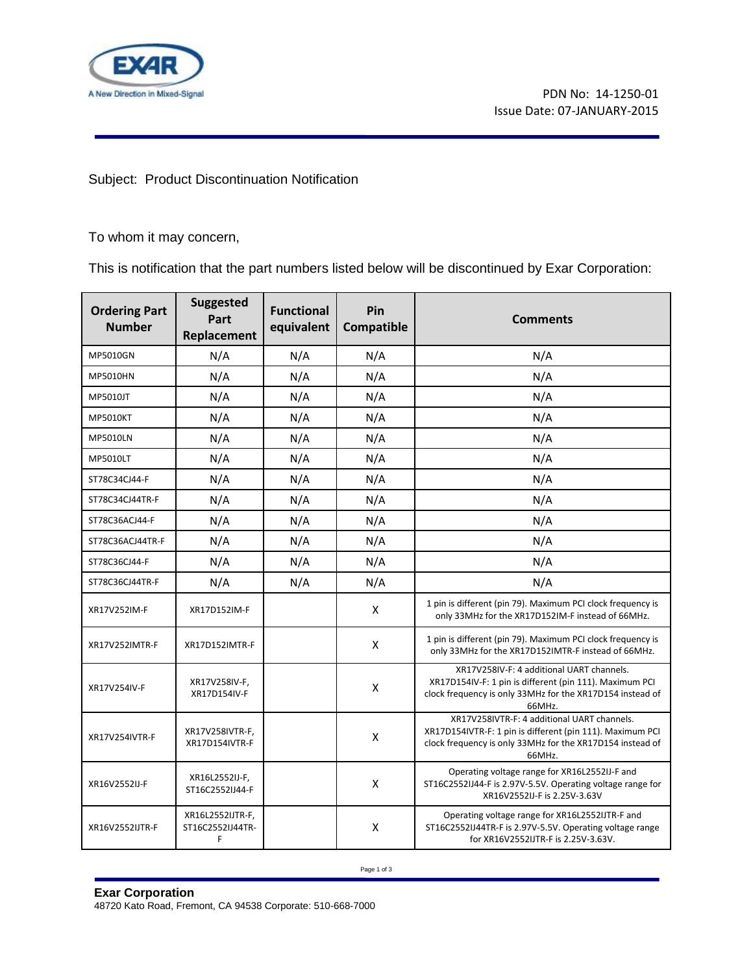

## Subject: Product Discontinuation Notification

To whom it may concern,

This is notification that the part numbers listed below will be discontinued by Exar Corporation:

| <b>Ordering Part</b><br><b>Number</b> | <b>Suggested</b><br>Part<br>Replacement   | <b>Functional</b><br>equivalent | Pin<br>Compatible | <b>Comments</b>                                                                                                                                                                 |
|---------------------------------------|-------------------------------------------|---------------------------------|-------------------|---------------------------------------------------------------------------------------------------------------------------------------------------------------------------------|
| MP5010GN                              | N/A                                       | N/A                             | N/A               | N/A                                                                                                                                                                             |
| MP5010HN                              | N/A                                       | N/A                             | N/A               | N/A                                                                                                                                                                             |
| MP5010JT                              | N/A                                       | N/A                             | N/A               | N/A                                                                                                                                                                             |
| <b>MP5010KT</b>                       | N/A                                       | N/A                             | N/A               | N/A                                                                                                                                                                             |
| <b>MP5010LN</b>                       | N/A                                       | N/A                             | N/A               | N/A                                                                                                                                                                             |
| <b>MP5010LT</b>                       | N/A                                       | N/A                             | N/A               | N/A                                                                                                                                                                             |
| ST78C34CJ44-F                         | N/A                                       | N/A                             | N/A               | N/A                                                                                                                                                                             |
| ST78C34CJ44TR-F                       | N/A                                       | N/A                             | N/A               | N/A                                                                                                                                                                             |
| ST78C36ACJ44-F                        | N/A                                       | N/A                             | N/A               | N/A                                                                                                                                                                             |
| ST78C36ACJ44TR-F                      | N/A                                       | N/A                             | N/A               | N/A                                                                                                                                                                             |
| ST78C36CJ44-F                         | N/A                                       | N/A                             | N/A               | N/A                                                                                                                                                                             |
| ST78C36CJ44TR-F                       | N/A                                       | N/A                             | N/A               | N/A                                                                                                                                                                             |
| XR17V252IM-F                          | XR17D152IM-F                              |                                 | X                 | 1 pin is different (pin 79). Maximum PCI clock frequency is<br>only 33MHz for the XR17D152IM-F instead of 66MHz.                                                                |
| <b>XR17V252IMTR-F</b>                 | XR17D152IMTR-F                            |                                 | X                 | 1 pin is different (pin 79). Maximum PCI clock frequency is<br>only 33MHz for the XR17D152IMTR-F instead of 66MHz.                                                              |
| XR17V254IV-F                          | XR17V258IV-F,<br>XR17D154IV-F             |                                 | X                 | XR17V258IV-F: 4 additional UART channels.<br>XR17D154IV-F: 1 pin is different (pin 111). Maximum PCI<br>clock frequency is only 33MHz for the XR17D154 instead of<br>66MHz.     |
| <b>XR17V254IVTR-F</b>                 | XR17V258IVTR-F,<br>XR17D154IVTR-F         |                                 | X                 | XR17V258IVTR-F: 4 additional UART channels.<br>XR17D154IVTR-F: 1 pin is different (pin 111). Maximum PCI<br>clock frequency is only 33MHz for the XR17D154 instead of<br>66MHz. |
| XR16V2552IJ-F                         | XR16L2552IJ-F,<br>ST16C2552IJ44-F         |                                 | Χ                 | Operating voltage range for XR16L2552IJ-F and<br>ST16C2552IJ44-F is 2.97V-5.5V. Operating voltage range for<br>XR16V2552IJ-F is 2.25V-3.63V                                     |
| XR16V2552IJTR-F                       | XR16L2552IJTR-F,<br>ST16C2552IJ44TR-<br>F |                                 | X                 | Operating voltage range for XR16L2552IJTR-F and<br>ST16C2552IJ44TR-F is 2.97V-5.5V. Operating voltage range<br>for XR16V2552IJTR-F is 2.25V-3.63V.                              |

Page 1 of 3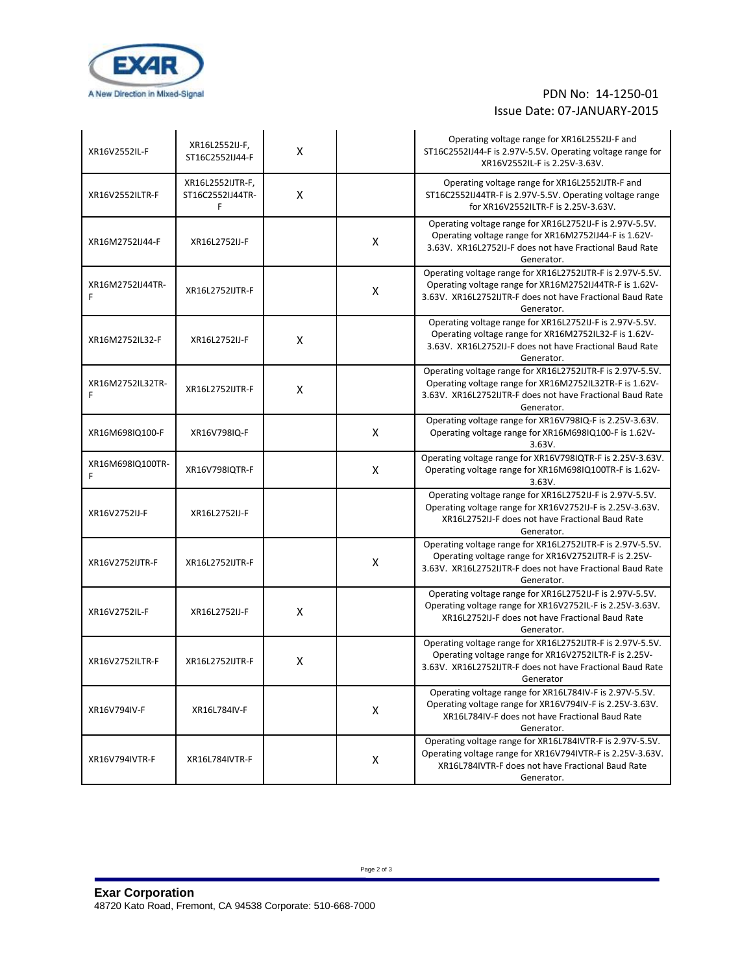

## PDN No: 14-1250-01 Issue Date: 07-JANUARY-2015

| XR16V2552IL-F         | XR16L2552IJ-F,<br>ST16C2552IJ44-F         | X |   | Operating voltage range for XR16L2552IJ-F and<br>ST16C2552IJ44-F is 2.97V-5.5V. Operating voltage range for<br>XR16V2552IL-F is 2.25V-3.63V.                                                     |
|-----------------------|-------------------------------------------|---|---|--------------------------------------------------------------------------------------------------------------------------------------------------------------------------------------------------|
| XR16V2552ILTR-F       | XR16L2552IJTR-F,<br>ST16C2552IJ44TR-<br>F | X |   | Operating voltage range for XR16L2552IJTR-F and<br>ST16C2552IJ44TR-F is 2.97V-5.5V. Operating voltage range<br>for XR16V2552ILTR-F is 2.25V-3.63V.                                               |
| XR16M2752IJ44-F       | XR16L2752IJ-F                             |   | X | Operating voltage range for XR16L2752IJ-F is 2.97V-5.5V.<br>Operating voltage range for XR16M2752IJ44-F is 1.62V-<br>3.63V. XR16L2752IJ-F does not have Fractional Baud Rate<br>Generator.       |
| XR16M2752IJ44TR-<br>F | XR16L2752IJTR-F                           |   | X | Operating voltage range for XR16L2752IJTR-F is 2.97V-5.5V.<br>Operating voltage range for XR16M2752IJ44TR-F is 1.62V-<br>3.63V. XR16L2752IJTR-F does not have Fractional Baud Rate<br>Generator. |
| XR16M2752IL32-F       | XR16L2752IJ-F                             | X |   | Operating voltage range for XR16L2752IJ-F is 2.97V-5.5V.<br>Operating voltage range for XR16M2752IL32-F is 1.62V-<br>3.63V. XR16L2752IJ-F does not have Fractional Baud Rate<br>Generator.       |
| XR16M2752IL32TR-<br>F | XR16L2752IJTR-F                           | X |   | Operating voltage range for XR16L2752IJTR-F is 2.97V-5.5V.<br>Operating voltage range for XR16M2752IL32TR-F is 1.62V-<br>3.63V. XR16L2752IJTR-F does not have Fractional Baud Rate<br>Generator. |
| XR16M698IQ100-F       | XR16V798IQ-F                              |   | X | Operating voltage range for XR16V798IQ-F is 2.25V-3.63V.<br>Operating voltage range for XR16M698IQ100-F is 1.62V-<br>3.63V.                                                                      |
| XR16M698IQ100TR-<br>F | XR16V798IQTR-F                            |   | Χ | Operating voltage range for XR16V798IQTR-F is 2.25V-3.63V.<br>Operating voltage range for XR16M698IQ100TR-F is 1.62V-<br>3.63V.                                                                  |
| XR16V2752IJ-F         | XR16L2752IJ-F                             |   |   | Operating voltage range for XR16L2752IJ-F is 2.97V-5.5V.<br>Operating voltage range for XR16V2752IJ-F is 2.25V-3.63V.<br>XR16L2752IJ-F does not have Fractional Baud Rate<br>Generator.          |
| XR16V2752IJTR-F       | XR16L2752IJTR-F                           |   | X | Operating voltage range for XR16L2752IJTR-F is 2.97V-5.5V.<br>Operating voltage range for XR16V2752IJTR-F is 2.25V-<br>3.63V. XR16L2752IJTR-F does not have Fractional Baud Rate<br>Generator.   |
| XR16V2752IL-F         | XR16L2752IJ-F                             | X |   | Operating voltage range for XR16L2752IJ-F is 2.97V-5.5V.<br>Operating voltage range for XR16V2752IL-F is 2.25V-3.63V.<br>XR16L2752IJ-F does not have Fractional Baud Rate<br>Generator.          |
| XR16V2752ILTR-F       | XR16L2752IJTR-F                           | X |   | Operating voltage range for XR16L2752IJTR-F is 2.97V-5.5V.<br>Operating voltage range for XR16V2752ILTR-F is 2.25V-<br>3.63V. XR16L2752IJTR-F does not have Fractional Baud Rate<br>Generator    |
| XR16V794IV-F          | XR16L784IV-F                              |   | Χ | Operating voltage range for XR16L784IV-F is 2.97V-5.5V.<br>Operating voltage range for XR16V794IV-F is 2.25V-3.63V.<br>XR16L784IV-F does not have Fractional Baud Rate<br>Generator.             |
| XR16V794IVTR-F        | XR16L784IVTR-F                            |   | Χ | Operating voltage range for XR16L784IVTR-F is 2.97V-5.5V.<br>Operating voltage range for XR16V794IVTR-F is 2.25V-3.63V.<br>XR16L784IVTR-F does not have Fractional Baud Rate<br>Generator.       |